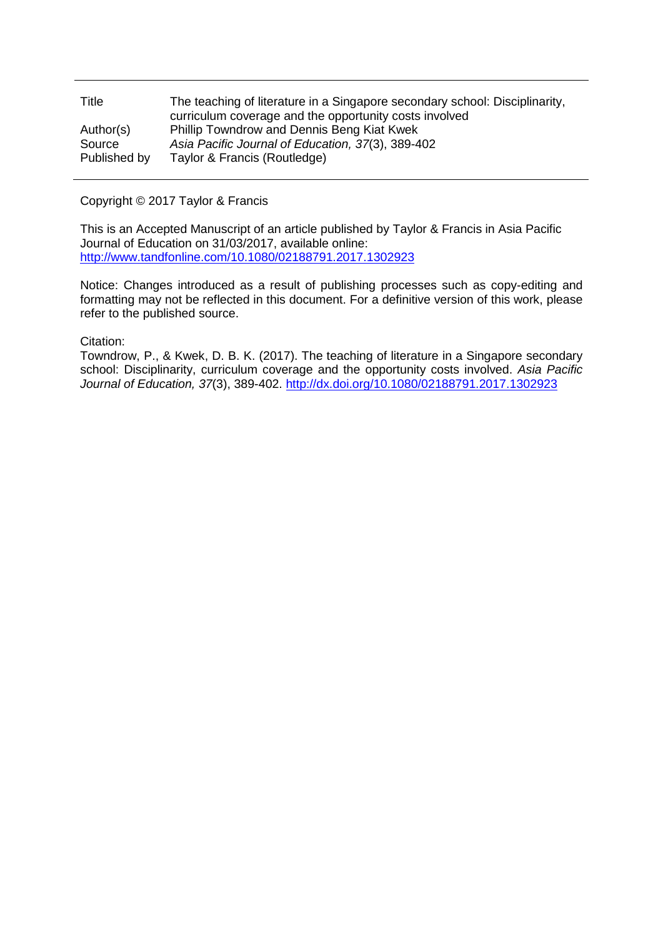| Title        | The teaching of literature in a Singapore secondary school: Disciplinarity,<br>curriculum coverage and the opportunity costs involved |
|--------------|---------------------------------------------------------------------------------------------------------------------------------------|
| Author(s)    | Phillip Towndrow and Dennis Beng Kiat Kwek                                                                                            |
| Source       | Asia Pacific Journal of Education, 37(3), 389-402                                                                                     |
| Published by | Taylor & Francis (Routledge)                                                                                                          |

#### Copyright © 2017 Taylor & Francis

This is an Accepted Manuscript of an article published by Taylor & Francis in Asia Pacific Journal of Education on 31/03/2017, available online: <http://www.tandfonline.com/10.1080/02188791.2017.1302923>

Notice: Changes introduced as a result of publishing processes such as copy-editing and formatting may not be reflected in this document. For a definitive version of this work, please refer to the published source.

#### Citation:

Towndrow, P., & Kwek, D. B. K. (2017). The teaching of literature in a Singapore secondary school: Disciplinarity, curriculum coverage and the opportunity costs involved. *Asia Pacific Journal of Education, 37*(3), 389-402.<http://dx.doi.org/10.1080/02188791.2017.1302923>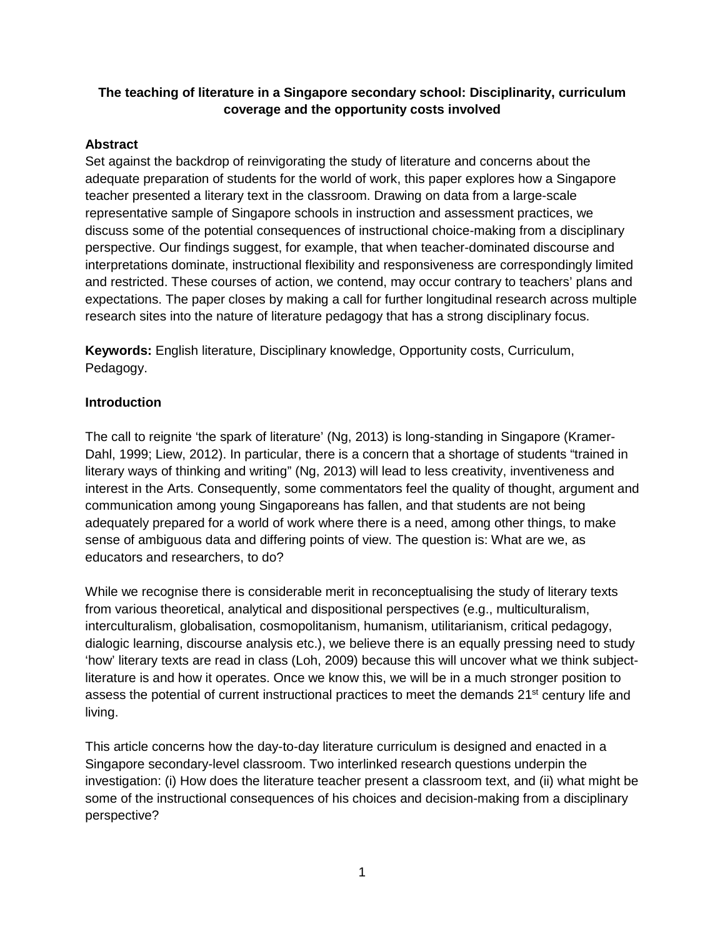# **The teaching of literature in a Singapore secondary school: Disciplinarity, curriculum coverage and the opportunity costs involved**

## **Abstract**

Set against the backdrop of reinvigorating the study of literature and concerns about the adequate preparation of students for the world of work, this paper explores how a Singapore teacher presented a literary text in the classroom. Drawing on data from a large-scale representative sample of Singapore schools in instruction and assessment practices, we discuss some of the potential consequences of instructional choice-making from a disciplinary perspective. Our findings suggest, for example, that when teacher-dominated discourse and interpretations dominate, instructional flexibility and responsiveness are correspondingly limited and restricted. These courses of action, we contend, may occur contrary to teachers' plans and expectations. The paper closes by making a call for further longitudinal research across multiple research sites into the nature of literature pedagogy that has a strong disciplinary focus.

**Keywords:** English literature, Disciplinary knowledge, Opportunity costs, Curriculum, Pedagogy.

# **Introduction**

The call to reignite 'the spark of literature' (Ng, 2013) is long-standing in Singapore (Kramer-Dahl, 1999; Liew, 2012). In particular, there is a concern that a shortage of students "trained in literary ways of thinking and writing" (Ng, 2013) will lead to less creativity, inventiveness and interest in the Arts. Consequently, some commentators feel the quality of thought, argument and communication among young Singaporeans has fallen, and that students are not being adequately prepared for a world of work where there is a need, among other things, to make sense of ambiguous data and differing points of view. The question is: What are we, as educators and researchers, to do?

While we recognise there is considerable merit in reconceptualising the study of literary texts from various theoretical, analytical and dispositional perspectives (e.g., multiculturalism, interculturalism, globalisation, cosmopolitanism, humanism, utilitarianism, critical pedagogy, dialogic learning, discourse analysis etc.), we believe there is an equally pressing need to study 'how' literary texts are read in class (Loh, 2009) because this will uncover what we think subjectliterature is and how it operates. Once we know this, we will be in a much stronger position to assess the potential of current instructional practices to meet the demands  $21<sup>st</sup>$  century life and living.

This article concerns how the day-to-day literature curriculum is designed and enacted in a Singapore secondary-level classroom. Two interlinked research questions underpin the investigation: (i) How does the literature teacher present a classroom text, and (ii) what might be some of the instructional consequences of his choices and decision-making from a disciplinary perspective?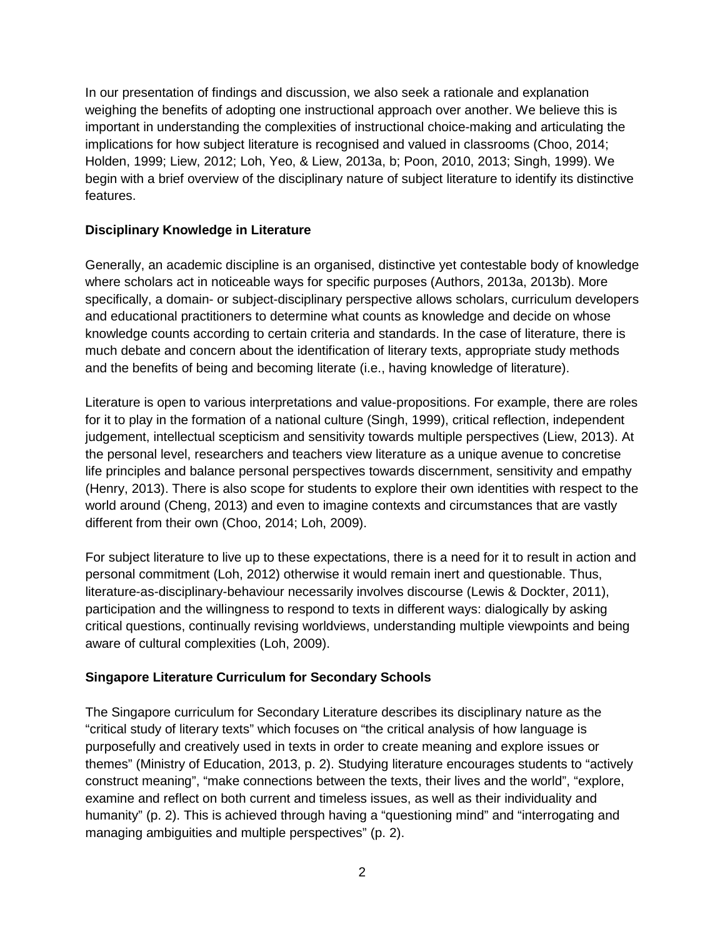In our presentation of findings and discussion, we also seek a rationale and explanation weighing the benefits of adopting one instructional approach over another. We believe this is important in understanding the complexities of instructional choice-making and articulating the implications for how subject literature is recognised and valued in classrooms (Choo, 2014; Holden, 1999; Liew, 2012; Loh, Yeo, & Liew, 2013a, b; Poon, 2010, 2013; Singh, 1999). We begin with a brief overview of the disciplinary nature of subject literature to identify its distinctive features.

### **Disciplinary Knowledge in Literature**

Generally, an academic discipline is an organised, distinctive yet contestable body of knowledge where scholars act in noticeable ways for specific purposes (Authors, 2013a, 2013b). More specifically, a domain- or subject-disciplinary perspective allows scholars, curriculum developers and educational practitioners to determine what counts as knowledge and decide on whose knowledge counts according to certain criteria and standards. In the case of literature, there is much debate and concern about the identification of literary texts, appropriate study methods and the benefits of being and becoming literate (i.e., having knowledge of literature).

Literature is open to various interpretations and value-propositions. For example, there are roles for it to play in the formation of a national culture (Singh, 1999), critical reflection, independent judgement, intellectual scepticism and sensitivity towards multiple perspectives (Liew, 2013). At the personal level, researchers and teachers view literature as a unique avenue to concretise life principles and balance personal perspectives towards discernment, sensitivity and empathy (Henry, 2013). There is also scope for students to explore their own identities with respect to the world around (Cheng, 2013) and even to imagine contexts and circumstances that are vastly different from their own (Choo, 2014; Loh, 2009).

For subject literature to live up to these expectations, there is a need for it to result in action and personal commitment (Loh, 2012) otherwise it would remain inert and questionable. Thus, literature-as-disciplinary-behaviour necessarily involves discourse (Lewis & Dockter, 2011), participation and the willingness to respond to texts in different ways: dialogically by asking critical questions, continually revising worldviews, understanding multiple viewpoints and being aware of cultural complexities (Loh, 2009).

## **Singapore Literature Curriculum for Secondary Schools**

The Singapore curriculum for Secondary Literature describes its disciplinary nature as the "critical study of literary texts" which focuses on "the critical analysis of how language is purposefully and creatively used in texts in order to create meaning and explore issues or themes" (Ministry of Education, 2013, p. 2). Studying literature encourages students to "actively construct meaning", "make connections between the texts, their lives and the world", "explore, examine and reflect on both current and timeless issues, as well as their individuality and humanity" (p. 2). This is achieved through having a "questioning mind" and "interrogating and managing ambiguities and multiple perspectives" (p. 2).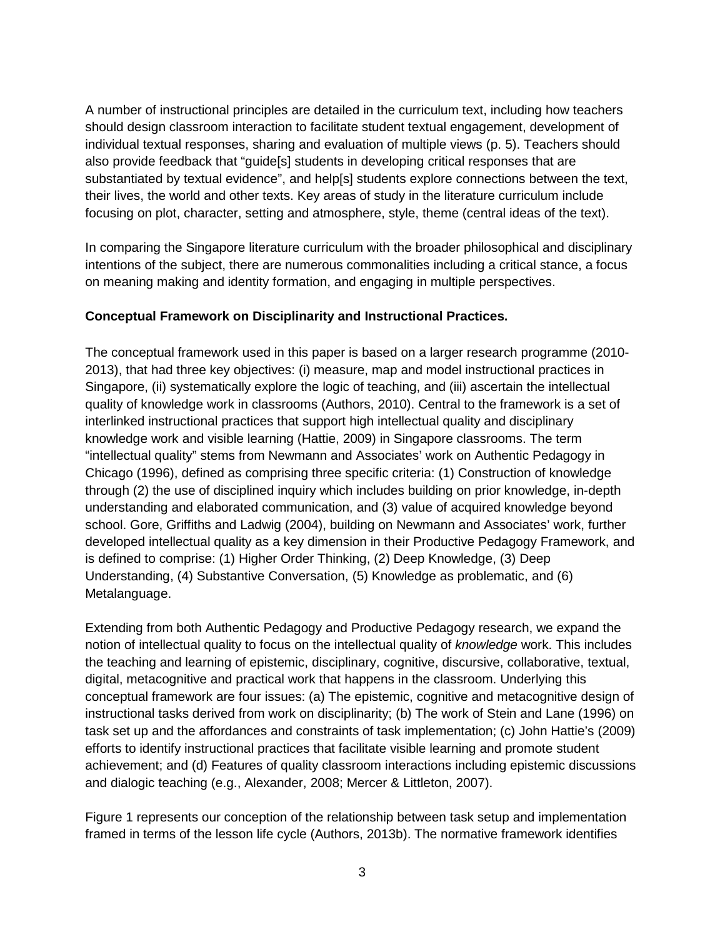A number of instructional principles are detailed in the curriculum text, including how teachers should design classroom interaction to facilitate student textual engagement, development of individual textual responses, sharing and evaluation of multiple views (p. 5). Teachers should also provide feedback that "guide[s] students in developing critical responses that are substantiated by textual evidence", and help[s] students explore connections between the text, their lives, the world and other texts. Key areas of study in the literature curriculum include focusing on plot, character, setting and atmosphere, style, theme (central ideas of the text).

In comparing the Singapore literature curriculum with the broader philosophical and disciplinary intentions of the subject, there are numerous commonalities including a critical stance, a focus on meaning making and identity formation, and engaging in multiple perspectives.

### **Conceptual Framework on Disciplinarity and Instructional Practices.**

The conceptual framework used in this paper is based on a larger research programme (2010- 2013), that had three key objectives: (i) measure, map and model instructional practices in Singapore, (ii) systematically explore the logic of teaching, and (iii) ascertain the intellectual quality of knowledge work in classrooms (Authors, 2010). Central to the framework is a set of interlinked instructional practices that support high intellectual quality and disciplinary knowledge work and visible learning (Hattie, 2009) in Singapore classrooms. The term "intellectual quality" stems from Newmann and Associates' work on Authentic Pedagogy in Chicago (1996), defined as comprising three specific criteria: (1) Construction of knowledge through (2) the use of disciplined inquiry which includes building on prior knowledge, in-depth understanding and elaborated communication, and (3) value of acquired knowledge beyond school. Gore, Griffiths and Ladwig (2004), building on Newmann and Associates' work, further developed intellectual quality as a key dimension in their Productive Pedagogy Framework, and is defined to comprise: (1) Higher Order Thinking, (2) Deep Knowledge, (3) Deep Understanding, (4) Substantive Conversation, (5) Knowledge as problematic, and (6) Metalanguage.

Extending from both Authentic Pedagogy and Productive Pedagogy research, we expand the notion of intellectual quality to focus on the intellectual quality of *knowledge* work. This includes the teaching and learning of epistemic, disciplinary, cognitive, discursive, collaborative, textual, digital, metacognitive and practical work that happens in the classroom. Underlying this conceptual framework are four issues: (a) The epistemic, cognitive and metacognitive design of instructional tasks derived from work on disciplinarity; (b) The work of Stein and Lane (1996) on task set up and the affordances and constraints of task implementation; (c) John Hattie's (2009) efforts to identify instructional practices that facilitate visible learning and promote student achievement; and (d) Features of quality classroom interactions including epistemic discussions and dialogic teaching (e.g., Alexander, 2008; Mercer & Littleton, 2007).

Figure 1 represents our conception of the relationship between task setup and implementation framed in terms of the lesson life cycle (Authors, 2013b). The normative framework identifies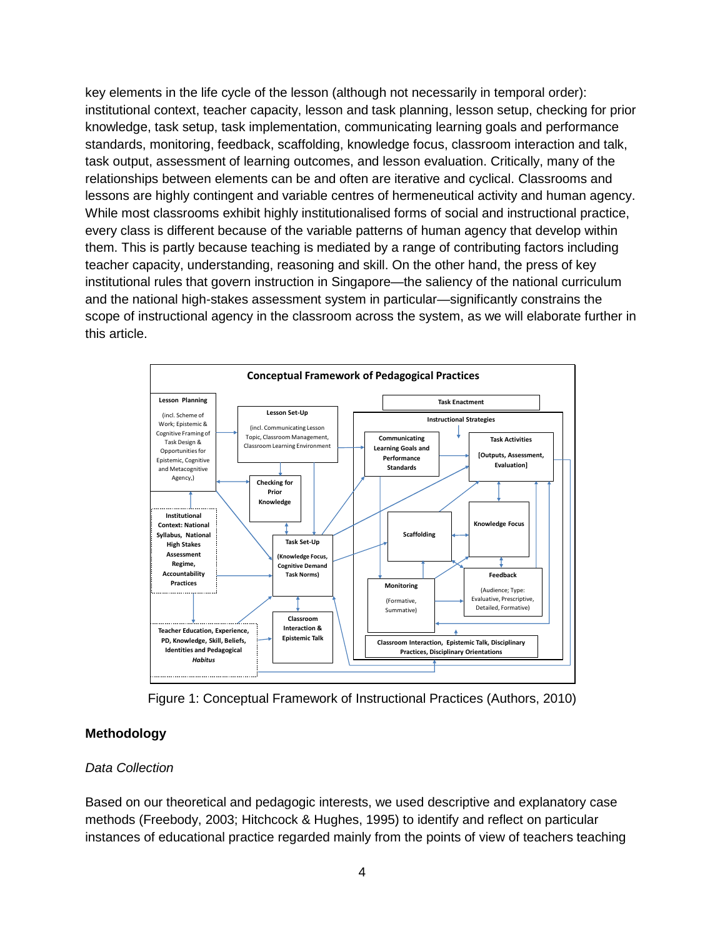key elements in the life cycle of the lesson (although not necessarily in temporal order): institutional context, teacher capacity, lesson and task planning, lesson setup, checking for prior knowledge, task setup, task implementation, communicating learning goals and performance standards, monitoring, feedback, scaffolding, knowledge focus, classroom interaction and talk, task output, assessment of learning outcomes, and lesson evaluation. Critically, many of the relationships between elements can be and often are iterative and cyclical. Classrooms and lessons are highly contingent and variable centres of hermeneutical activity and human agency. While most classrooms exhibit highly institutionalised forms of social and instructional practice, every class is different because of the variable patterns of human agency that develop within them. This is partly because teaching is mediated by a range of contributing factors including teacher capacity, understanding, reasoning and skill. On the other hand, the press of key institutional rules that govern instruction in Singapore—the saliency of the national curriculum and the national high-stakes assessment system in particular—significantly constrains the scope of instructional agency in the classroom across the system, as we will elaborate further in this article.



Figure 1: Conceptual Framework of Instructional Practices (Authors, 2010)

## **Methodology**

#### *Data Collection*

Based on our theoretical and pedagogic interests, we used descriptive and explanatory case methods (Freebody, 2003; Hitchcock & Hughes, 1995) to identify and reflect on particular instances of educational practice regarded mainly from the points of view of teachers teaching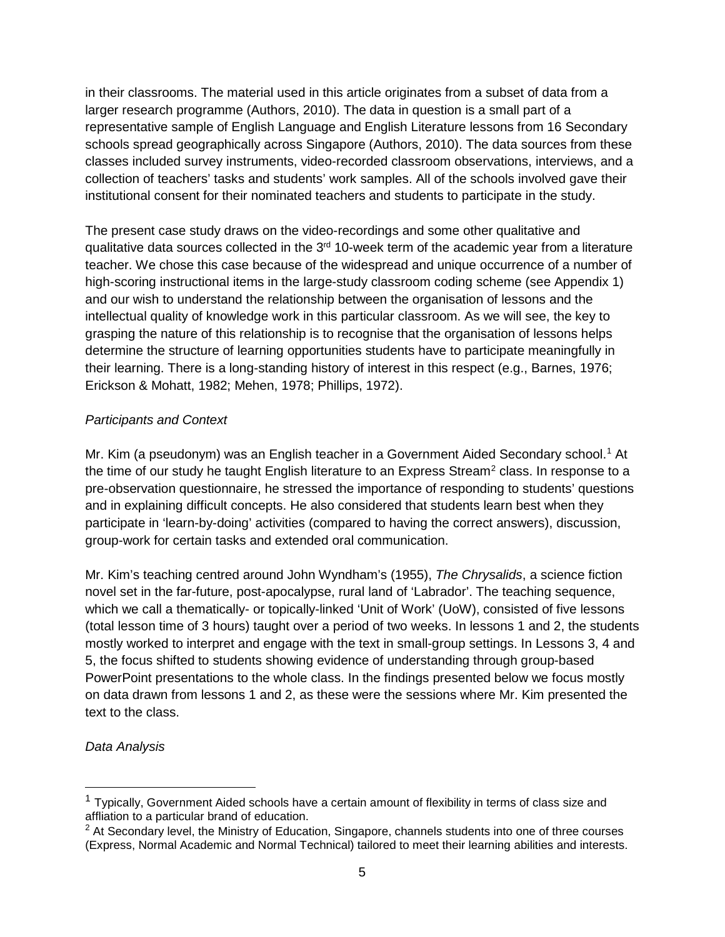in their classrooms. The material used in this article originates from a subset of data from a larger research programme (Authors, 2010). The data in question is a small part of a representative sample of English Language and English Literature lessons from 16 Secondary schools spread geographically across Singapore (Authors, 2010). The data sources from these classes included survey instruments, video-recorded classroom observations, interviews, and a collection of teachers' tasks and students' work samples. All of the schools involved gave their institutional consent for their nominated teachers and students to participate in the study.

The present case study draws on the video-recordings and some other qualitative and qualitative data sources collected in the  $3<sup>rd</sup>$  10-week term of the academic year from a literature teacher. We chose this case because of the widespread and unique occurrence of a number of high-scoring instructional items in the large-study classroom coding scheme (see Appendix 1) and our wish to understand the relationship between the organisation of lessons and the intellectual quality of knowledge work in this particular classroom. As we will see, the key to grasping the nature of this relationship is to recognise that the organisation of lessons helps determine the structure of learning opportunities students have to participate meaningfully in their learning. There is a long-standing history of interest in this respect (e.g., Barnes, 1976; Erickson & Mohatt, 1982; Mehen, 1978; Phillips, 1972).

### *Participants and Context*

Mr. Kim (a pseudonym) was an English teacher in a Government Aided Secondary school.<sup>[1](#page-5-0)</sup> At the time of our study he taught English literature to an Express Stream<sup>[2](#page-5-1)</sup> class. In response to a pre-observation questionnaire, he stressed the importance of responding to students' questions and in explaining difficult concepts. He also considered that students learn best when they participate in 'learn-by-doing' activities (compared to having the correct answers), discussion, group-work for certain tasks and extended oral communication.

Mr. Kim's teaching centred around John Wyndham's (1955), *The Chrysalids*, a science fiction novel set in the far-future, post-apocalypse, rural land of 'Labrador'. The teaching sequence, which we call a thematically- or topically-linked 'Unit of Work' (UoW), consisted of five lessons (total lesson time of 3 hours) taught over a period of two weeks. In lessons 1 and 2, the students mostly worked to interpret and engage with the text in small-group settings. In Lessons 3, 4 and 5, the focus shifted to students showing evidence of understanding through group-based PowerPoint presentations to the whole class. In the findings presented below we focus mostly on data drawn from lessons 1 and 2, as these were the sessions where Mr. Kim presented the text to the class.

#### *Data Analysis*

<span id="page-5-0"></span> $1$  Typically, Government Aided schools have a certain amount of flexibility in terms of class size and affliation to a particular brand of education.

<span id="page-5-1"></span> $2$  At Secondary level, the Ministry of Education, Singapore, channels students into one of three courses (Express, Normal Academic and Normal Technical) tailored to meet their learning abilities and interests.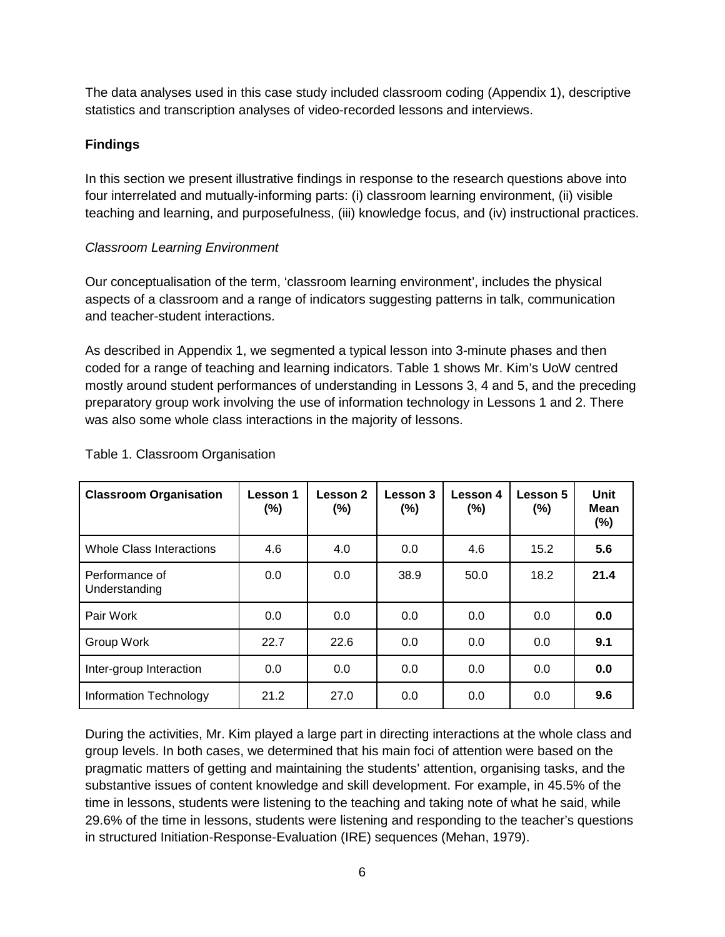The data analyses used in this case study included classroom coding (Appendix 1), descriptive statistics and transcription analyses of video-recorded lessons and interviews.

## **Findings**

In this section we present illustrative findings in response to the research questions above into four interrelated and mutually-informing parts: (i) classroom learning environment, (ii) visible teaching and learning, and purposefulness, (iii) knowledge focus, and (iv) instructional practices.

# *Classroom Learning Environment*

Our conceptualisation of the term, 'classroom learning environment', includes the physical aspects of a classroom and a range of indicators suggesting patterns in talk, communication and teacher-student interactions.

As described in Appendix 1, we segmented a typical lesson into 3-minute phases and then coded for a range of teaching and learning indicators. Table 1 shows Mr. Kim's UoW centred mostly around student performances of understanding in Lessons 3, 4 and 5, and the preceding preparatory group work involving the use of information technology in Lessons 1 and 2. There was also some whole class interactions in the majority of lessons.

| <b>Classroom Organisation</b>   | <b>Lesson 1</b><br>$(\%)$ | Lesson 2<br>(%) | Lesson 3<br>$(\% )$ | Lesson 4<br>(%) | Lesson 5<br>$(\% )$ | Unit<br>Mean<br>$(\% )$ |
|---------------------------------|---------------------------|-----------------|---------------------|-----------------|---------------------|-------------------------|
| <b>Whole Class Interactions</b> | 4.6                       | 4.0             | 0.0                 | 4.6             | 15.2                | 5.6                     |
| Performance of<br>Understanding | 0.0                       | 0.0             | 38.9                | 50.0            | 18.2                | 21.4                    |
| Pair Work                       | 0.0                       | 0.0             | 0.0                 | 0.0             | 0.0                 | 0.0                     |
| Group Work                      | 22.7                      | 22.6            | 0.0                 | 0.0             | 0.0                 | 9.1                     |
| Inter-group Interaction         | 0.0                       | 0.0             | 0.0                 | 0.0             | 0.0                 | 0.0                     |
| Information Technology          | 21.2                      | 27.0            | 0.0                 | 0.0             | 0.0                 | 9.6                     |

## Table 1. Classroom Organisation

During the activities, Mr. Kim played a large part in directing interactions at the whole class and group levels. In both cases, we determined that his main foci of attention were based on the pragmatic matters of getting and maintaining the students' attention, organising tasks, and the substantive issues of content knowledge and skill development. For example, in 45.5% of the time in lessons, students were listening to the teaching and taking note of what he said, while 29.6% of the time in lessons, students were listening and responding to the teacher's questions in structured Initiation-Response-Evaluation (IRE) sequences (Mehan, 1979).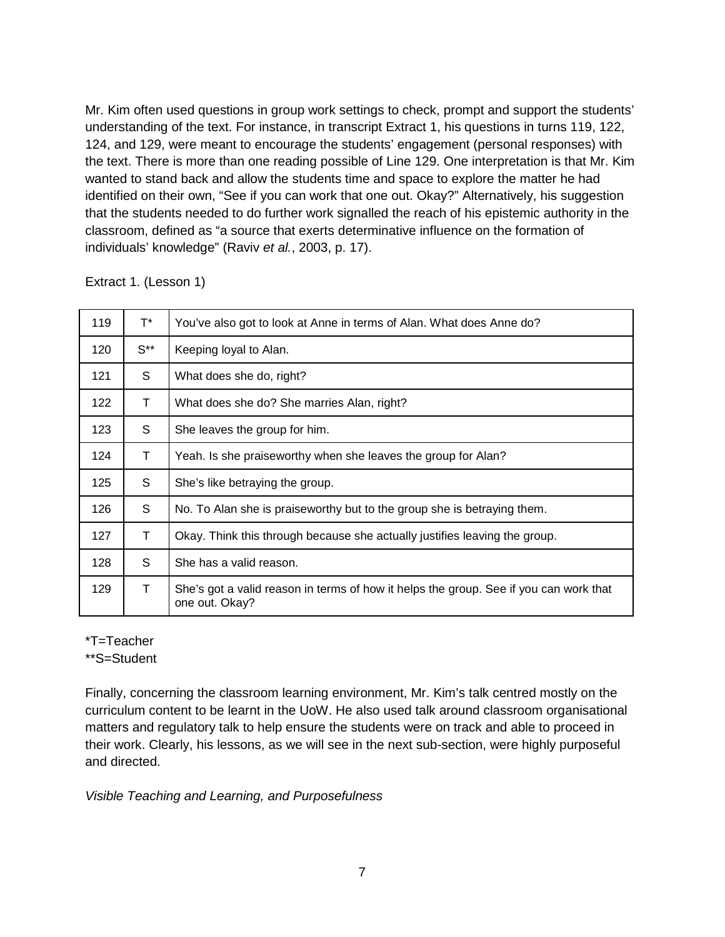Mr. Kim often used questions in group work settings to check, prompt and support the students' understanding of the text. For instance, in transcript Extract 1, his questions in turns 119, 122, 124, and 129, were meant to encourage the students' engagement (personal responses) with the text. There is more than one reading possible of Line 129. One interpretation is that Mr. Kim wanted to stand back and allow the students time and space to explore the matter he had identified on their own, "See if you can work that one out. Okay?" Alternatively, his suggestion that the students needed to do further work signalled the reach of his epistemic authority in the classroom, defined as "a source that exerts determinative influence on the formation of individuals' knowledge" (Raviv *et al.*, 2003, p. 17).

| 119 | $T^*$    | You've also got to look at Anne in terms of Alan. What does Anne do?                                    |
|-----|----------|---------------------------------------------------------------------------------------------------------|
| 120 | $S^{**}$ | Keeping loyal to Alan.                                                                                  |
| 121 | S        | What does she do, right?                                                                                |
| 122 | T        | What does she do? She marries Alan, right?                                                              |
| 123 | S        | She leaves the group for him.                                                                           |
| 124 | т        | Yeah. Is she praiseworthy when she leaves the group for Alan?                                           |
| 125 | S        | She's like betraying the group.                                                                         |
| 126 | S        | No. To Alan she is praiseworthy but to the group she is betraying them.                                 |
| 127 | Τ        | Okay. Think this through because she actually justifies leaving the group.                              |
| 128 | S        | She has a valid reason.                                                                                 |
| 129 | Τ        | She's got a valid reason in terms of how it helps the group. See if you can work that<br>one out. Okay? |

Extract 1. (Lesson 1)

\*T=Teacher

\*\*S=Student

Finally, concerning the classroom learning environment, Mr. Kim's talk centred mostly on the curriculum content to be learnt in the UoW. He also used talk around classroom organisational matters and regulatory talk to help ensure the students were on track and able to proceed in their work. Clearly, his lessons, as we will see in the next sub-section, were highly purposeful and directed.

*Visible Teaching and Learning, and Purposefulness*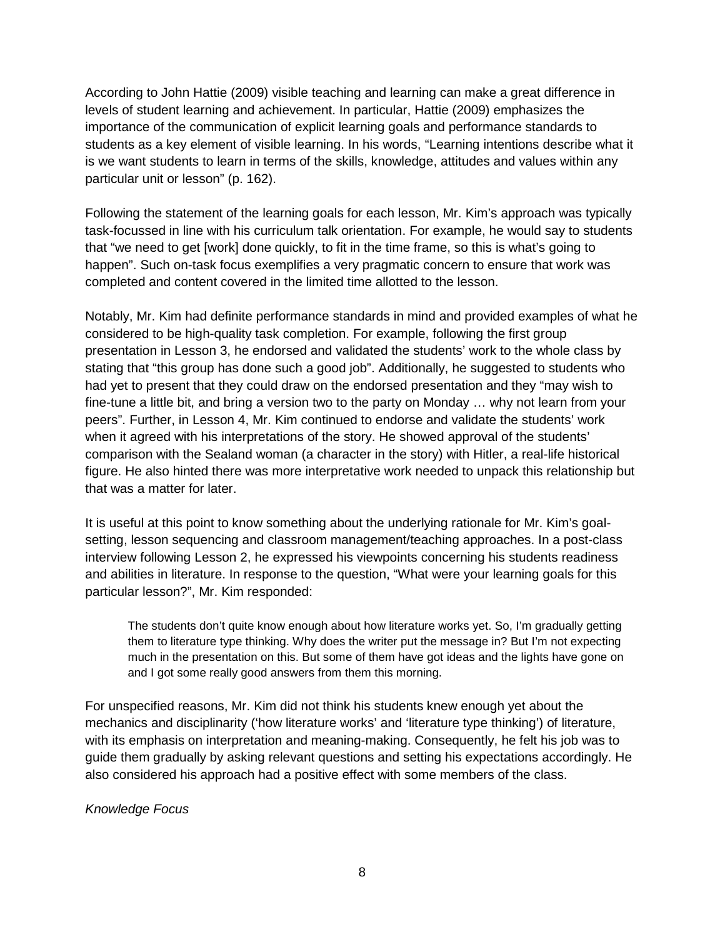According to John Hattie (2009) visible teaching and learning can make a great difference in levels of student learning and achievement. In particular, Hattie (2009) emphasizes the importance of the communication of explicit learning goals and performance standards to students as a key element of visible learning. In his words, "Learning intentions describe what it is we want students to learn in terms of the skills, knowledge, attitudes and values within any particular unit or lesson" (p. 162).

Following the statement of the learning goals for each lesson, Mr. Kim's approach was typically task-focussed in line with his curriculum talk orientation. For example, he would say to students that "we need to get [work] done quickly, to fit in the time frame, so this is what's going to happen". Such on-task focus exemplifies a very pragmatic concern to ensure that work was completed and content covered in the limited time allotted to the lesson.

Notably, Mr. Kim had definite performance standards in mind and provided examples of what he considered to be high-quality task completion. For example, following the first group presentation in Lesson 3, he endorsed and validated the students' work to the whole class by stating that "this group has done such a good job". Additionally, he suggested to students who had yet to present that they could draw on the endorsed presentation and they "may wish to fine-tune a little bit, and bring a version two to the party on Monday … why not learn from your peers". Further, in Lesson 4, Mr. Kim continued to endorse and validate the students' work when it agreed with his interpretations of the story. He showed approval of the students' comparison with the Sealand woman (a character in the story) with Hitler, a real-life historical figure. He also hinted there was more interpretative work needed to unpack this relationship but that was a matter for later.

It is useful at this point to know something about the underlying rationale for Mr. Kim's goalsetting, lesson sequencing and classroom management/teaching approaches. In a post-class interview following Lesson 2, he expressed his viewpoints concerning his students readiness and abilities in literature. In response to the question, "What were your learning goals for this particular lesson?", Mr. Kim responded:

The students don't quite know enough about how literature works yet. So, I'm gradually getting them to literature type thinking. Why does the writer put the message in? But I'm not expecting much in the presentation on this. But some of them have got ideas and the lights have gone on and I got some really good answers from them this morning.

For unspecified reasons, Mr. Kim did not think his students knew enough yet about the mechanics and disciplinarity ('how literature works' and 'literature type thinking') of literature, with its emphasis on interpretation and meaning-making. Consequently, he felt his job was to guide them gradually by asking relevant questions and setting his expectations accordingly. He also considered his approach had a positive effect with some members of the class.

#### *Knowledge Focus*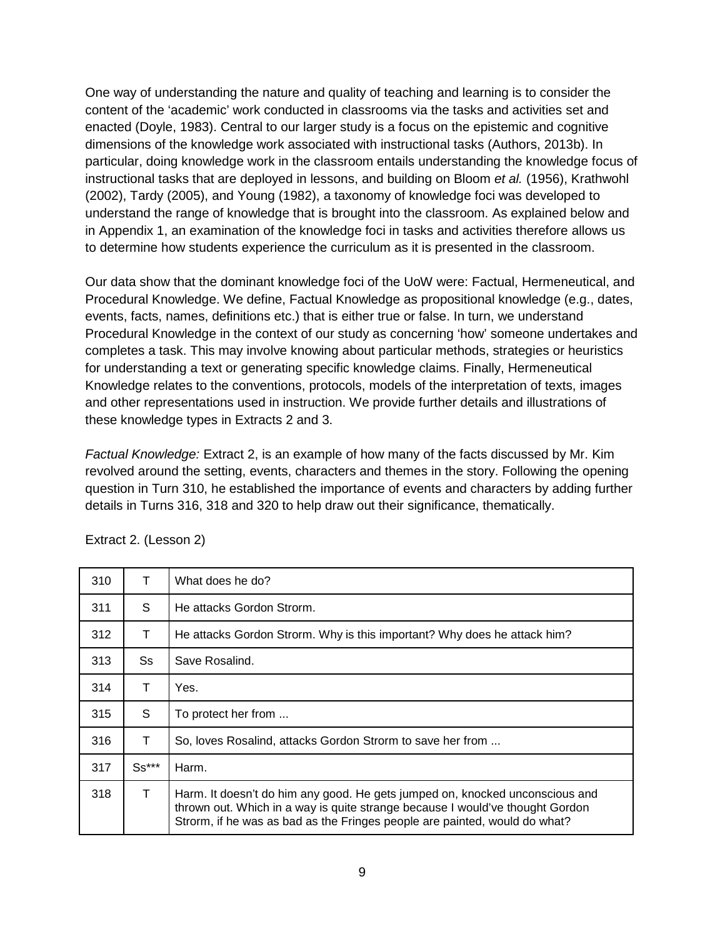One way of understanding the nature and quality of teaching and learning is to consider the content of the 'academic' work conducted in classrooms via the tasks and activities set and enacted (Doyle, 1983). Central to our larger study is a focus on the epistemic and cognitive dimensions of the knowledge work associated with instructional tasks (Authors, 2013b). In particular, doing knowledge work in the classroom entails understanding the knowledge focus of instructional tasks that are deployed in lessons, and building on Bloom *et al.* (1956), Krathwohl (2002), Tardy (2005), and Young (1982), a taxonomy of knowledge foci was developed to understand the range of knowledge that is brought into the classroom. As explained below and in Appendix 1, an examination of the knowledge foci in tasks and activities therefore allows us to determine how students experience the curriculum as it is presented in the classroom.

Our data show that the dominant knowledge foci of the UoW were: Factual, Hermeneutical, and Procedural Knowledge. We define, Factual Knowledge as propositional knowledge (e.g., dates, events, facts, names, definitions etc.) that is either true or false. In turn, we understand Procedural Knowledge in the context of our study as concerning 'how' someone undertakes and completes a task. This may involve knowing about particular methods, strategies or heuristics for understanding a text or generating specific knowledge claims. Finally, Hermeneutical Knowledge relates to the conventions, protocols, models of the interpretation of texts, images and other representations used in instruction. We provide further details and illustrations of these knowledge types in Extracts 2 and 3.

*Factual Knowledge:* Extract 2, is an example of how many of the facts discussed by Mr. Kim revolved around the setting, events, characters and themes in the story. Following the opening question in Turn 310, he established the importance of events and characters by adding further details in Turns 316, 318 and 320 to help draw out their significance, thematically.

| 310 |         | What does he do?                                                                                                                                                                                                                            |
|-----|---------|---------------------------------------------------------------------------------------------------------------------------------------------------------------------------------------------------------------------------------------------|
| 311 | S       | He attacks Gordon Strorm.                                                                                                                                                                                                                   |
| 312 | Τ       | He attacks Gordon Strorm. Why is this important? Why does he attack him?                                                                                                                                                                    |
| 313 | Ss      | Save Rosalind.                                                                                                                                                                                                                              |
| 314 |         | Yes.                                                                                                                                                                                                                                        |
| 315 | S.      | To protect her from                                                                                                                                                                                                                         |
| 316 |         | So, loves Rosalind, attacks Gordon Strorm to save her from                                                                                                                                                                                  |
| 317 | $Ss***$ | Harm.                                                                                                                                                                                                                                       |
| 318 | T.      | Harm. It doesn't do him any good. He gets jumped on, knocked unconscious and<br>thrown out. Which in a way is quite strange because I would've thought Gordon<br>Strorm, if he was as bad as the Fringes people are painted, would do what? |

#### Extract 2. (Lesson 2)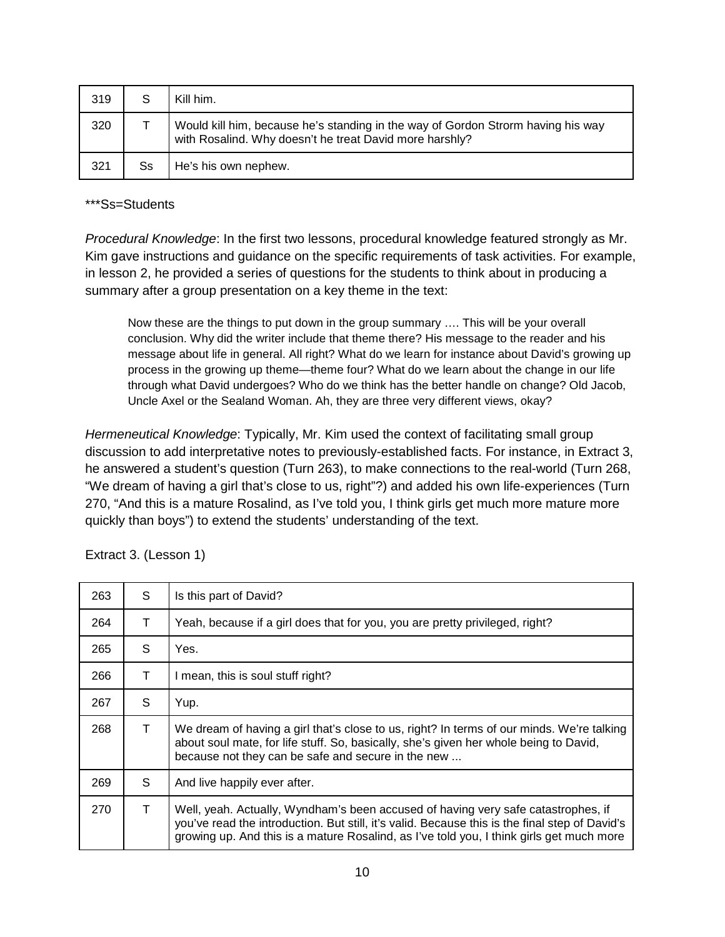| 319 |    | Kill him.                                                                                                                                   |
|-----|----|---------------------------------------------------------------------------------------------------------------------------------------------|
| 320 |    | Would kill him, because he's standing in the way of Gordon Strorm having his way<br>with Rosalind. Why doesn't he treat David more harshly? |
| 321 | Ss | He's his own nephew.                                                                                                                        |

\*\*\*Ss=Students

*Procedural Knowledge*: In the first two lessons, procedural knowledge featured strongly as Mr. Kim gave instructions and guidance on the specific requirements of task activities. For example, in lesson 2, he provided a series of questions for the students to think about in producing a summary after a group presentation on a key theme in the text:

Now these are the things to put down in the group summary …. This will be your overall conclusion. Why did the writer include that theme there? His message to the reader and his message about life in general. All right? What do we learn for instance about David's growing up process in the growing up theme—theme four? What do we learn about the change in our life through what David undergoes? Who do we think has the better handle on change? Old Jacob, Uncle Axel or the Sealand Woman. Ah, they are three very different views, okay?

*Hermeneutical Knowledge*: Typically, Mr. Kim used the context of facilitating small group discussion to add interpretative notes to previously-established facts. For instance, in Extract 3, he answered a student's question (Turn 263), to make connections to the real-world (Turn 268, "We dream of having a girl that's close to us, right"?) and added his own life-experiences (Turn 270, "And this is a mature Rosalind, as I've told you, I think girls get much more mature more quickly than boys") to extend the students' understanding of the text.

| 263 | S  | Is this part of David?                                                                                                                                                                                                                                                          |
|-----|----|---------------------------------------------------------------------------------------------------------------------------------------------------------------------------------------------------------------------------------------------------------------------------------|
| 264 | т  | Yeah, because if a girl does that for you, you are pretty privileged, right?                                                                                                                                                                                                    |
| 265 | S  | Yes.                                                                                                                                                                                                                                                                            |
| 266 | т  | I mean, this is soul stuff right?                                                                                                                                                                                                                                               |
| 267 | S  | Yup.                                                                                                                                                                                                                                                                            |
| 268 | T. | We dream of having a girl that's close to us, right? In terms of our minds. We're talking<br>about soul mate, for life stuff. So, basically, she's given her whole being to David,<br>because not they can be safe and secure in the new                                        |
| 269 | S  | And live happily ever after.                                                                                                                                                                                                                                                    |
| 270 | т  | Well, yeah. Actually, Wyndham's been accused of having very safe catastrophes, if<br>you've read the introduction. But still, it's valid. Because this is the final step of David's<br>growing up. And this is a mature Rosalind, as I've told you, I think girls get much more |

## Extract 3. (Lesson 1)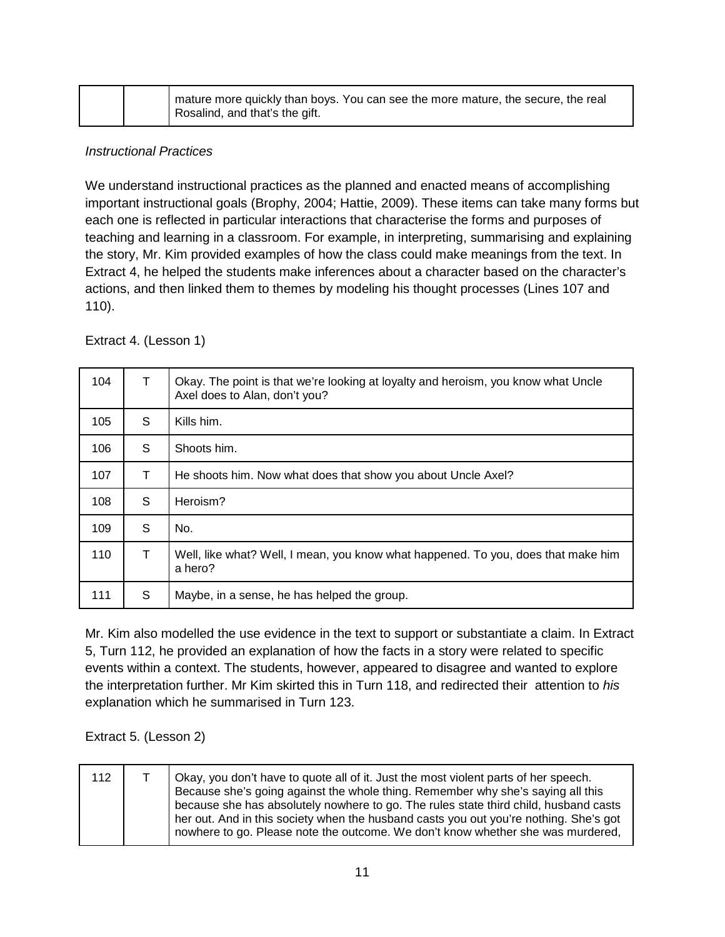| Rosalind, and that's the gift. |
|--------------------------------|
|--------------------------------|

#### *Instructional Practices*

We understand instructional practices as the planned and enacted means of accomplishing important instructional goals (Brophy, 2004; Hattie, 2009). These items can take many forms but each one is reflected in particular interactions that characterise the forms and purposes of teaching and learning in a classroom. For example, in interpreting, summarising and explaining the story, Mr. Kim provided examples of how the class could make meanings from the text. In Extract 4, he helped the students make inferences about a character based on the character's actions, and then linked them to themes by modeling his thought processes (Lines 107 and 110).

#### Extract 4. (Lesson 1)

| 104 | T. | Okay. The point is that we're looking at loyalty and heroism, you know what Uncle<br>Axel does to Alan, don't you? |
|-----|----|--------------------------------------------------------------------------------------------------------------------|
| 105 | S  | Kills him.                                                                                                         |
| 106 | S  | Shoots him.                                                                                                        |
| 107 | т  | He shoots him. Now what does that show you about Uncle Axel?                                                       |
| 108 | S  | Heroism?                                                                                                           |
| 109 | S  | No.                                                                                                                |
| 110 | T. | Well, like what? Well, I mean, you know what happened. To you, does that make him<br>a hero?                       |
| 111 | S  | Maybe, in a sense, he has helped the group.                                                                        |

Mr. Kim also modelled the use evidence in the text to support or substantiate a claim. In Extract 5, Turn 112, he provided an explanation of how the facts in a story were related to specific events within a context. The students, however, appeared to disagree and wanted to explore the interpretation further. Mr Kim skirted this in Turn 118, and redirected their attention to *his* explanation which he summarised in Turn 123.

Extract 5. (Lesson 2)

| 112 |  | Okay, you don't have to quote all of it. Just the most violent parts of her speech.<br>Because she's going against the whole thing. Remember why she's saying all this<br>because she has absolutely nowhere to go. The rules state third child, husband casts<br>her out. And in this society when the husband casts you out you're nothing. She's got<br>nowhere to go. Please note the outcome. We don't know whether she was murdered, |
|-----|--|--------------------------------------------------------------------------------------------------------------------------------------------------------------------------------------------------------------------------------------------------------------------------------------------------------------------------------------------------------------------------------------------------------------------------------------------|
|-----|--|--------------------------------------------------------------------------------------------------------------------------------------------------------------------------------------------------------------------------------------------------------------------------------------------------------------------------------------------------------------------------------------------------------------------------------------------|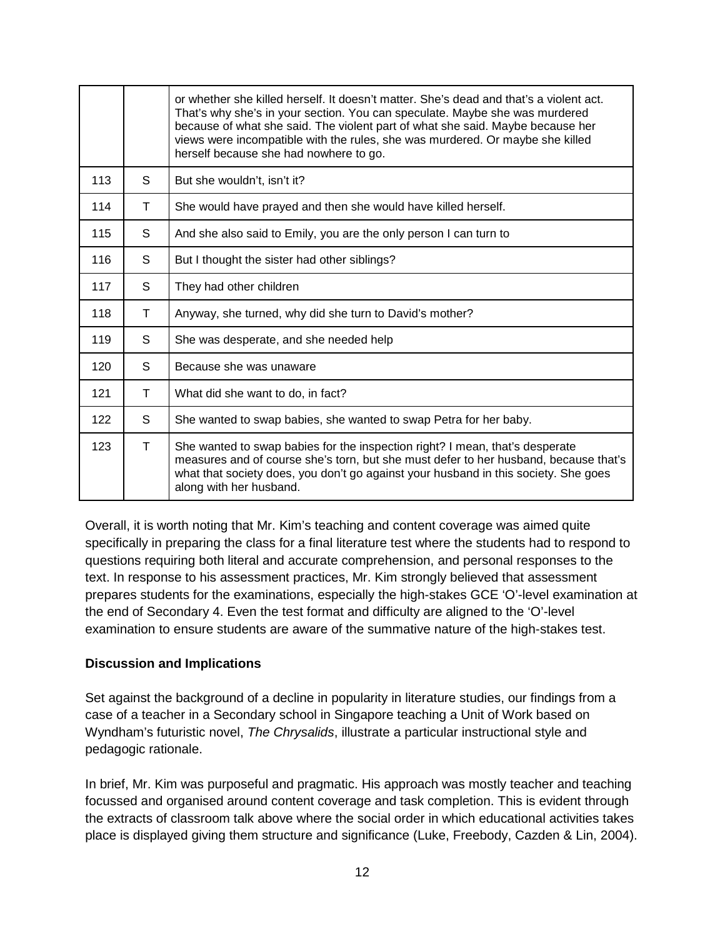|     |    | or whether she killed herself. It doesn't matter. She's dead and that's a violent act.<br>That's why she's in your section. You can speculate. Maybe she was murdered<br>because of what she said. The violent part of what she said. Maybe because her<br>views were incompatible with the rules, she was murdered. Or maybe she killed<br>herself because she had nowhere to go. |
|-----|----|------------------------------------------------------------------------------------------------------------------------------------------------------------------------------------------------------------------------------------------------------------------------------------------------------------------------------------------------------------------------------------|
| 113 | S  | But she wouldn't, isn't it?                                                                                                                                                                                                                                                                                                                                                        |
| 114 | T. | She would have prayed and then she would have killed herself.                                                                                                                                                                                                                                                                                                                      |
| 115 | S  | And she also said to Emily, you are the only person I can turn to                                                                                                                                                                                                                                                                                                                  |
| 116 | S  | But I thought the sister had other siblings?                                                                                                                                                                                                                                                                                                                                       |
| 117 | S  | They had other children                                                                                                                                                                                                                                                                                                                                                            |
| 118 | T  | Anyway, she turned, why did she turn to David's mother?                                                                                                                                                                                                                                                                                                                            |
| 119 | S  | She was desperate, and she needed help                                                                                                                                                                                                                                                                                                                                             |
| 120 | S  | Because she was unaware                                                                                                                                                                                                                                                                                                                                                            |
| 121 | Τ  | What did she want to do, in fact?                                                                                                                                                                                                                                                                                                                                                  |
| 122 | S  | She wanted to swap babies, she wanted to swap Petra for her baby.                                                                                                                                                                                                                                                                                                                  |
| 123 | T. | She wanted to swap babies for the inspection right? I mean, that's desperate<br>measures and of course she's torn, but she must defer to her husband, because that's<br>what that society does, you don't go against your husband in this society. She goes<br>along with her husband.                                                                                             |

Overall, it is worth noting that Mr. Kim's teaching and content coverage was aimed quite specifically in preparing the class for a final literature test where the students had to respond to questions requiring both literal and accurate comprehension, and personal responses to the text. In response to his assessment practices, Mr. Kim strongly believed that assessment prepares students for the examinations, especially the high-stakes GCE 'O'-level examination at the end of Secondary 4. Even the test format and difficulty are aligned to the 'O'-level examination to ensure students are aware of the summative nature of the high-stakes test.

## **Discussion and Implications**

Set against the background of a decline in popularity in literature studies, our findings from a case of a teacher in a Secondary school in Singapore teaching a Unit of Work based on Wyndham's futuristic novel, *The Chrysalids*, illustrate a particular instructional style and pedagogic rationale.

In brief, Mr. Kim was purposeful and pragmatic. His approach was mostly teacher and teaching focussed and organised around content coverage and task completion. This is evident through the extracts of classroom talk above where the social order in which educational activities takes place is displayed giving them structure and significance (Luke, Freebody, Cazden & Lin, 2004).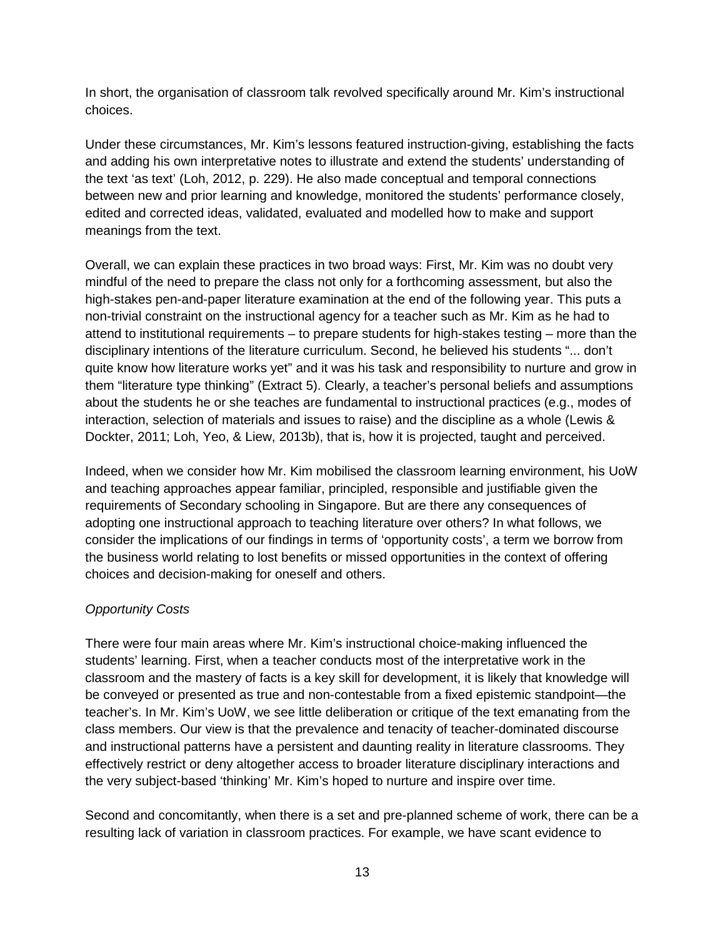In short, the organisation of classroom talk revolved specifically around Mr. Kim's instructional choices.

Under these circumstances, Mr. Kim's lessons featured instruction-giving, establishing the facts and adding his own interpretative notes to illustrate and extend the students' understanding of the text 'as text' (Loh, 2012, p. 229). He also made conceptual and temporal connections between new and prior learning and knowledge, monitored the students' performance closely, edited and corrected ideas, validated, evaluated and modelled how to make and support meanings from the text.

Overall, we can explain these practices in two broad ways: First, Mr. Kim was no doubt very mindful of the need to prepare the class not only for a forthcoming assessment, but also the high-stakes pen-and-paper literature examination at the end of the following year. This puts a non-trivial constraint on the instructional agency for a teacher such as Mr. Kim as he had to attend to institutional requirements – to prepare students for high-stakes testing – more than the disciplinary intentions of the literature curriculum. Second, he believed his students "... don't quite know how literature works yet" and it was his task and responsibility to nurture and grow in them "literature type thinking" (Extract 5). Clearly, a teacher's personal beliefs and assumptions about the students he or she teaches are fundamental to instructional practices (e.g., modes of interaction, selection of materials and issues to raise) and the discipline as a whole (Lewis & Dockter, 2011; Loh, Yeo, & Liew, 2013b), that is, how it is projected, taught and perceived.

Indeed, when we consider how Mr. Kim mobilised the classroom learning environment, his UoW and teaching approaches appear familiar, principled, responsible and justifiable given the requirements of Secondary schooling in Singapore. But are there any consequences of adopting one instructional approach to teaching literature over others? In what follows, we consider the implications of our findings in terms of 'opportunity costs', a term we borrow from the business world relating to lost benefits or missed opportunities in the context of offering choices and decision-making for oneself and others.

## *Opportunity Costs*

There were four main areas where Mr. Kim's instructional choice-making influenced the students' learning. First, when a teacher conducts most of the interpretative work in the classroom and the mastery of facts is a key skill for development, it is likely that knowledge will be conveyed or presented as true and non-contestable from a fixed epistemic standpoint—the teacher's. In Mr. Kim's UoW, we see little deliberation or critique of the text emanating from the class members. Our view is that the prevalence and tenacity of teacher-dominated discourse and instructional patterns have a persistent and daunting reality in literature classrooms. They effectively restrict or deny altogether access to broader literature disciplinary interactions and the very subject-based 'thinking' Mr. Kim's hoped to nurture and inspire over time.

Second and concomitantly, when there is a set and pre-planned scheme of work, there can be a resulting lack of variation in classroom practices. For example, we have scant evidence to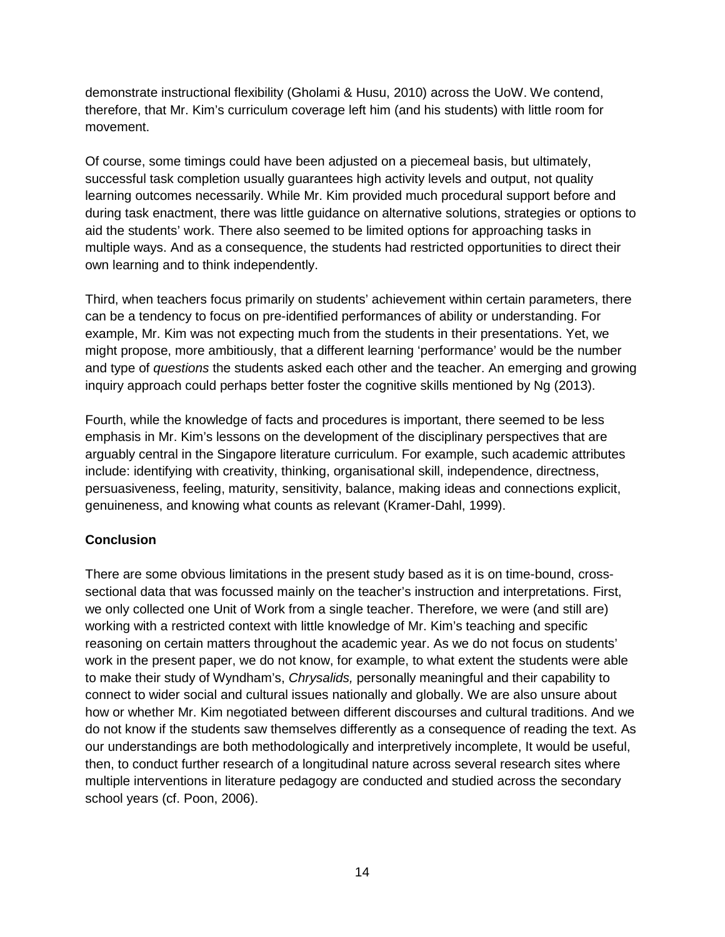demonstrate instructional flexibility (Gholami & Husu, 2010) across the UoW. We contend, therefore, that Mr. Kim's curriculum coverage left him (and his students) with little room for movement.

Of course, some timings could have been adjusted on a piecemeal basis, but ultimately, successful task completion usually guarantees high activity levels and output, not quality learning outcomes necessarily. While Mr. Kim provided much procedural support before and during task enactment, there was little guidance on alternative solutions, strategies or options to aid the students' work. There also seemed to be limited options for approaching tasks in multiple ways. And as a consequence, the students had restricted opportunities to direct their own learning and to think independently.

Third, when teachers focus primarily on students' achievement within certain parameters, there can be a tendency to focus on pre-identified performances of ability or understanding. For example, Mr. Kim was not expecting much from the students in their presentations. Yet, we might propose, more ambitiously, that a different learning 'performance' would be the number and type of *questions* the students asked each other and the teacher. An emerging and growing inquiry approach could perhaps better foster the cognitive skills mentioned by Ng (2013).

Fourth, while the knowledge of facts and procedures is important, there seemed to be less emphasis in Mr. Kim's lessons on the development of the disciplinary perspectives that are arguably central in the Singapore literature curriculum. For example, such academic attributes include: identifying with creativity, thinking, organisational skill, independence, directness, persuasiveness, feeling, maturity, sensitivity, balance, making ideas and connections explicit, genuineness, and knowing what counts as relevant (Kramer-Dahl, 1999).

## **Conclusion**

There are some obvious limitations in the present study based as it is on time-bound, crosssectional data that was focussed mainly on the teacher's instruction and interpretations. First, we only collected one Unit of Work from a single teacher. Therefore, we were (and still are) working with a restricted context with little knowledge of Mr. Kim's teaching and specific reasoning on certain matters throughout the academic year. As we do not focus on students' work in the present paper, we do not know, for example, to what extent the students were able to make their study of Wyndham's, *Chrysalids,* personally meaningful and their capability to connect to wider social and cultural issues nationally and globally. We are also unsure about how or whether Mr. Kim negotiated between different discourses and cultural traditions. And we do not know if the students saw themselves differently as a consequence of reading the text. As our understandings are both methodologically and interpretively incomplete, It would be useful, then, to conduct further research of a longitudinal nature across several research sites where multiple interventions in literature pedagogy are conducted and studied across the secondary school years (cf. Poon, 2006).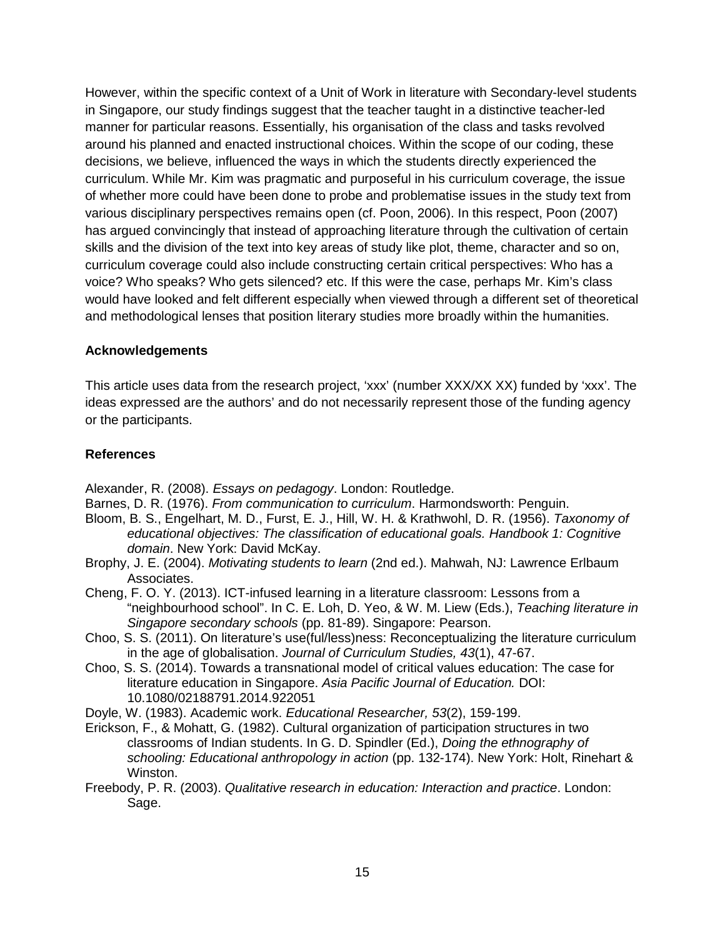However, within the specific context of a Unit of Work in literature with Secondary-level students in Singapore, our study findings suggest that the teacher taught in a distinctive teacher-led manner for particular reasons. Essentially, his organisation of the class and tasks revolved around his planned and enacted instructional choices. Within the scope of our coding, these decisions, we believe, influenced the ways in which the students directly experienced the curriculum. While Mr. Kim was pragmatic and purposeful in his curriculum coverage, the issue of whether more could have been done to probe and problematise issues in the study text from various disciplinary perspectives remains open (cf. Poon, 2006). In this respect, Poon (2007) has argued convincingly that instead of approaching literature through the cultivation of certain skills and the division of the text into key areas of study like plot, theme, character and so on, curriculum coverage could also include constructing certain critical perspectives: Who has a voice? Who speaks? Who gets silenced? etc. If this were the case, perhaps Mr. Kim's class would have looked and felt different especially when viewed through a different set of theoretical and methodological lenses that position literary studies more broadly within the humanities.

### **Acknowledgements**

This article uses data from the research project, 'xxx' (number XXX/XX XX) funded by 'xxx'. The ideas expressed are the authors' and do not necessarily represent those of the funding agency or the participants.

### **References**

Alexander, R. (2008). *Essays on pedagogy*. London: Routledge.

- Barnes, D. R. (1976). *From communication to curriculum*. Harmondsworth: Penguin.
- Bloom, B. S., Engelhart, M. D., Furst, E. J., Hill, W. H. & Krathwohl, D. R. (1956). *Taxonomy of educational objectives: The classification of educational goals. Handbook 1: Cognitive domain*. New York: David McKay.
- Brophy, J. E. (2004). *Motivating students to learn* (2nd ed.). Mahwah, NJ: Lawrence Erlbaum Associates.
- Cheng, F. O. Y. (2013). ICT-infused learning in a literature classroom: Lessons from a "neighbourhood school". In C. E. Loh, D. Yeo, & W. M. Liew (Eds.), *Teaching literature in Singapore secondary schools* (pp. 81-89). Singapore: Pearson.
- Choo, S. S. (2011). On literature's use(ful/less)ness: Reconceptualizing the literature curriculum in the age of globalisation. *Journal of Curriculum Studies, 43*(1), 47-67.
- Choo, S. S. (2014). Towards a transnational model of critical values education: The case for literature education in Singapore. *Asia Pacific Journal of Education.* DOI: 10.1080/02188791.2014.922051
- Doyle, W. (1983). Academic work. *Educational Researcher, 53*(2), 159-199.
- Erickson, F., & Mohatt, G. (1982). Cultural organization of participation structures in two classrooms of Indian students. In G. D. Spindler (Ed.), *Doing the ethnography of schooling: Educational anthropology in action* (pp. 132-174). New York: Holt, Rinehart & Winston.
- Freebody, P. R. (2003). *Qualitative research in education: Interaction and practice*. London: Sage.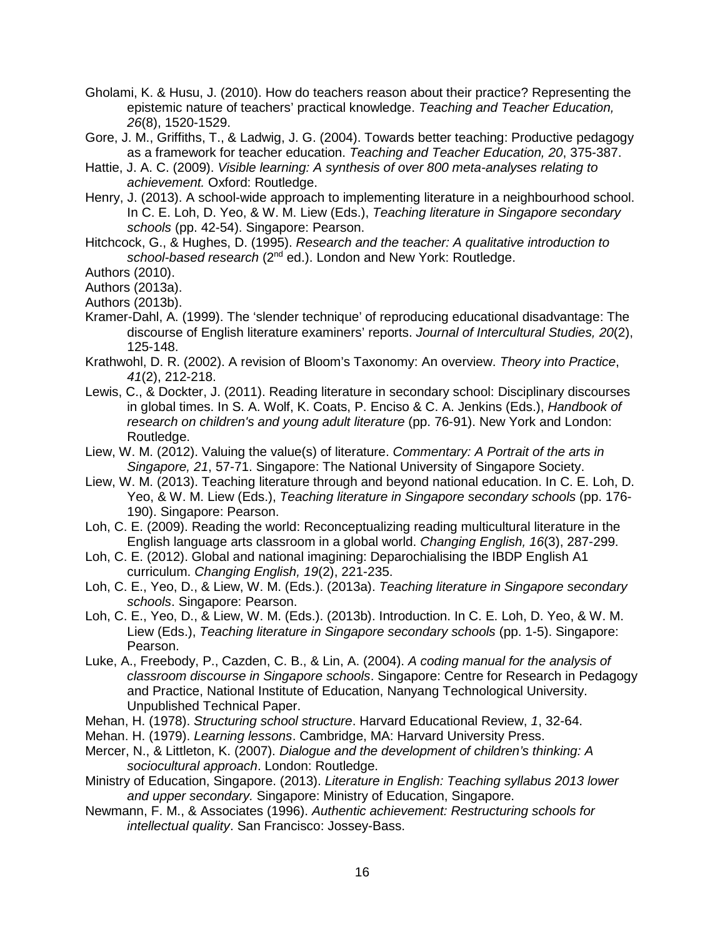- Gholami, K. & Husu, J. (2010). How do teachers reason about their practice? Representing the epistemic nature of teachers' practical knowledge. *Teaching and Teacher Education, 26*(8), 1520-1529.
- Gore, J. M., Griffiths, T., & Ladwig, J. G. (2004). Towards better teaching: Productive pedagogy as a framework for teacher education. *Teaching and Teacher Education, 20*, 375-387.
- Hattie, J. A. C. (2009). *Visible learning: A synthesis of over 800 meta-analyses relating to achievement.* Oxford: Routledge.
- Henry, J. (2013). A school-wide approach to implementing literature in a neighbourhood school. In C. E. Loh, D. Yeo, & W. M. Liew (Eds.), *Teaching literature in Singapore secondary schools* (pp. 42-54). Singapore: Pearson.
- Hitchcock, G., & Hughes, D. (1995). *Research and the teacher: A qualitative introduction to school-based research* (2nd ed.). London and New York: Routledge.

Authors (2010).

Authors (2013a).

Authors (2013b).

- Kramer-Dahl, A. (1999). The 'slender technique' of reproducing educational disadvantage: The discourse of English literature examiners' reports. *Journal of Intercultural Studies, 20*(2), 125-148.
- Krathwohl, D. R. (2002). A revision of Bloom's Taxonomy: An overview. *Theory into Practice*, *41*(2), 212-218.
- Lewis, C., & Dockter, J. (2011). Reading literature in secondary school: Disciplinary discourses in global times. In S. A. Wolf, K. Coats, P. Enciso & C. A. Jenkins (Eds.), *Handbook of research on children's and young adult literature* (pp. 76-91). New York and London: Routledge.
- Liew, W. M. (2012). Valuing the value(s) of literature. *Commentary: A Portrait of the arts in Singapore, 21*, 57-71. Singapore: The National University of Singapore Society.
- Liew, W. M. (2013). Teaching literature through and beyond national education. In C. E. Loh, D. Yeo, & W. M. Liew (Eds.), *Teaching literature in Singapore secondary schools* (pp. 176- 190). Singapore: Pearson.
- Loh, C. E. (2009). Reading the world: Reconceptualizing reading multicultural literature in the English language arts classroom in a global world. *Changing English, 16*(3), 287-299.
- Loh, C. E. (2012). Global and national imagining: Deparochialising the IBDP English A1 curriculum. *Changing English, 19*(2), 221-235.
- Loh, C. E., Yeo, D., & Liew, W. M. (Eds.). (2013a). *Teaching literature in Singapore secondary schools*. Singapore: Pearson.
- Loh, C. E., Yeo, D., & Liew, W. M. (Eds.). (2013b). Introduction. In C. E. Loh, D. Yeo, & W. M. Liew (Eds.), *Teaching literature in Singapore secondary schools* (pp. 1-5). Singapore: Pearson.
- Luke, A., Freebody, P., Cazden, C. B., & Lin, A. (2004). *A coding manual for the analysis of classroom discourse in Singapore schools*. Singapore: Centre for Research in Pedagogy and Practice, National Institute of Education, Nanyang Technological University. Unpublished Technical Paper.
- Mehan, H. (1978). *Structuring school structure*. Harvard Educational Review, *1*, 32-64.
- Mehan. H. (1979). *Learning lessons*. Cambridge, MA: Harvard University Press.
- Mercer, N., & Littleton, K. (2007). *Dialogue and the development of children's thinking: A sociocultural approach*. London: Routledge.
- Ministry of Education, Singapore. (2013). *Literature in English: Teaching syllabus 2013 lower and upper secondary.* Singapore: Ministry of Education, Singapore.
- Newmann, F. M., & Associates (1996). *Authentic achievement: Restructuring schools for intellectual quality*. San Francisco: Jossey-Bass.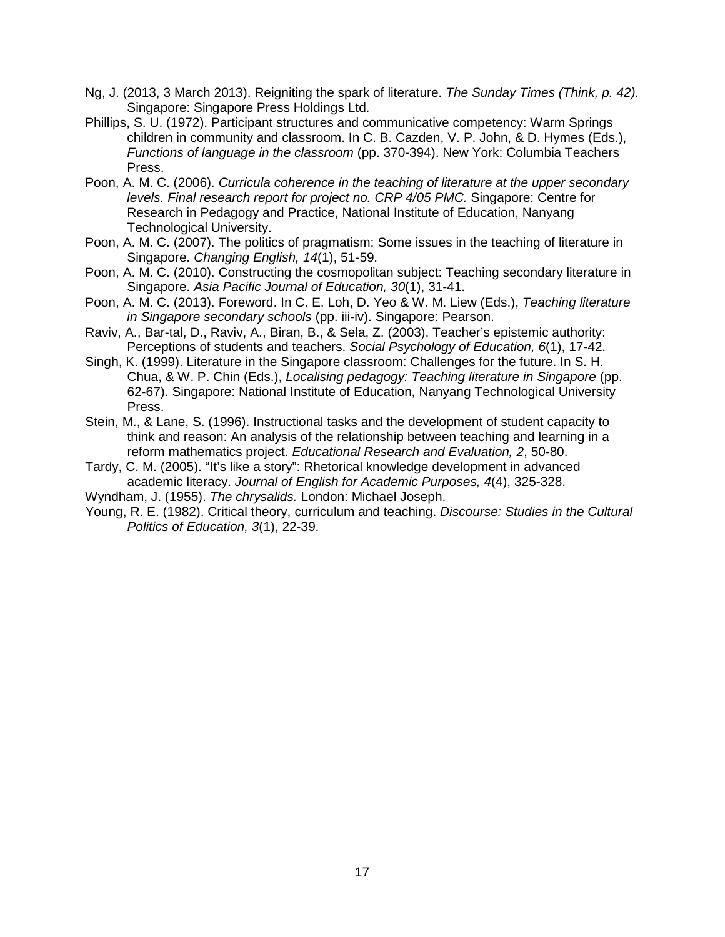- Ng, J. (2013, 3 March 2013). Reigniting the spark of literature. *The Sunday Times (Think, p. 42).* Singapore: Singapore Press Holdings Ltd.
- Phillips, S. U. (1972). Participant structures and communicative competency: Warm Springs children in community and classroom. In C. B. Cazden, V. P. John, & D. Hymes (Eds.), *Functions of language in the classroom* (pp. 370-394). New York: Columbia Teachers Press.
- Poon, A. M. C. (2006). *Curricula coherence in the teaching of literature at the upper secondary levels. Final research report for project no. CRP 4/05 PMC.* Singapore: Centre for Research in Pedagogy and Practice, National Institute of Education, Nanyang Technological University.
- Poon, A. M. C. (2007). The politics of pragmatism: Some issues in the teaching of literature in Singapore. *Changing English, 14*(1), 51-59.
- Poon, A. M. C. (2010). Constructing the cosmopolitan subject: Teaching secondary literature in Singapore. *Asia Pacific Journal of Education, 30*(1), 31-41.
- Poon, A. M. C. (2013). Foreword. In C. E. Loh, D. Yeo & W. M. Liew (Eds.), *Teaching literature in Singapore secondary schools* (pp. iii-iv). Singapore: Pearson.
- Raviv, A., Bar-tal, D., Raviv, A., Biran, B., & Sela, Z. (2003). Teacher's epistemic authority: Perceptions of students and teachers. *Social Psychology of Education, 6*(1), 17-42.
- Singh, K. (1999). Literature in the Singapore classroom: Challenges for the future. In S. H. Chua, & W. P. Chin (Eds.), *Localising pedagogy: Teaching literature in Singapore* (pp. 62-67). Singapore: National Institute of Education, Nanyang Technological University Press.
- Stein, M., & Lane, S. (1996). Instructional tasks and the development of student capacity to think and reason: An analysis of the relationship between teaching and learning in a reform mathematics project. *Educational Research and Evaluation, 2*, 50-80.
- Tardy, C. M. (2005). "It's like a story": Rhetorical knowledge development in advanced academic literacy. *Journal of English for Academic Purposes, 4*(4), 325-328.
- Wyndham, J. (1955). *The chrysalids.* London: Michael Joseph.
- Young, R. E. (1982). Critical theory, curriculum and teaching. *Discourse: Studies in the Cultural Politics of Education, 3*(1), 22-39.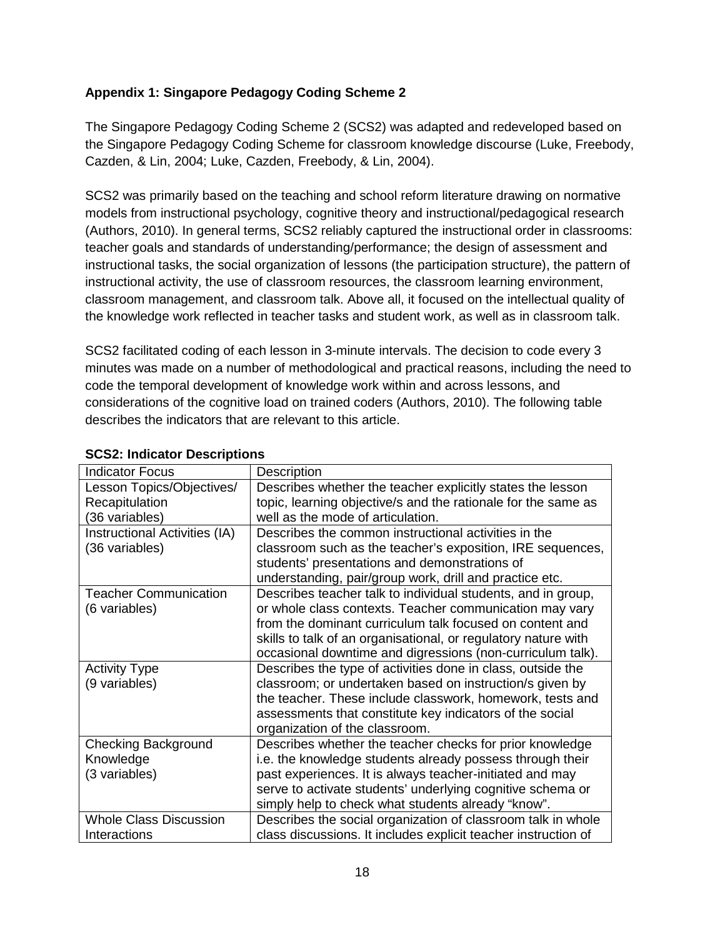## **Appendix 1: Singapore Pedagogy Coding Scheme 2**

The Singapore Pedagogy Coding Scheme 2 (SCS2) was adapted and redeveloped based on the Singapore Pedagogy Coding Scheme for classroom knowledge discourse (Luke, Freebody, Cazden, & Lin, 2004; Luke, Cazden, Freebody, & Lin, 2004).

SCS2 was primarily based on the teaching and school reform literature drawing on normative models from instructional psychology, cognitive theory and instructional/pedagogical research (Authors, 2010). In general terms, SCS2 reliably captured the instructional order in classrooms: teacher goals and standards of understanding/performance; the design of assessment and instructional tasks, the social organization of lessons (the participation structure), the pattern of instructional activity, the use of classroom resources, the classroom learning environment, classroom management, and classroom talk. Above all, it focused on the intellectual quality of the knowledge work reflected in teacher tasks and student work, as well as in classroom talk.

SCS2 facilitated coding of each lesson in 3-minute intervals. The decision to code every 3 minutes was made on a number of methodological and practical reasons, including the need to code the temporal development of knowledge work within and across lessons, and considerations of the cognitive load on trained coders (Authors, 2010). The following table describes the indicators that are relevant to this article.

| <b>Indicator Focus</b>        | <b>Description</b>                                             |
|-------------------------------|----------------------------------------------------------------|
| Lesson Topics/Objectives/     | Describes whether the teacher explicitly states the lesson     |
| Recapitulation                | topic, learning objective/s and the rationale for the same as  |
| (36 variables)                | well as the mode of articulation.                              |
| Instructional Activities (IA) | Describes the common instructional activities in the           |
| (36 variables)                | classroom such as the teacher's exposition, IRE sequences,     |
|                               | students' presentations and demonstrations of                  |
|                               | understanding, pair/group work, drill and practice etc.        |
| <b>Teacher Communication</b>  | Describes teacher talk to individual students, and in group,   |
| (6 variables)                 | or whole class contexts. Teacher communication may vary        |
|                               | from the dominant curriculum talk focused on content and       |
|                               | skills to talk of an organisational, or regulatory nature with |
|                               | occasional downtime and digressions (non-curriculum talk).     |
| <b>Activity Type</b>          | Describes the type of activities done in class, outside the    |
| (9 variables)                 | classroom; or undertaken based on instruction/s given by       |
|                               | the teacher. These include classwork, homework, tests and      |
|                               | assessments that constitute key indicators of the social       |
|                               | organization of the classroom.                                 |
| <b>Checking Background</b>    | Describes whether the teacher checks for prior knowledge       |
| Knowledge                     | i.e. the knowledge students already possess through their      |
| (3 variables)                 | past experiences. It is always teacher-initiated and may       |
|                               | serve to activate students' underlying cognitive schema or     |
|                               | simply help to check what students already "know".             |
| <b>Whole Class Discussion</b> | Describes the social organization of classroom talk in whole   |
| Interactions                  | class discussions. It includes explicit teacher instruction of |

### **SCS2: Indicator Descriptions**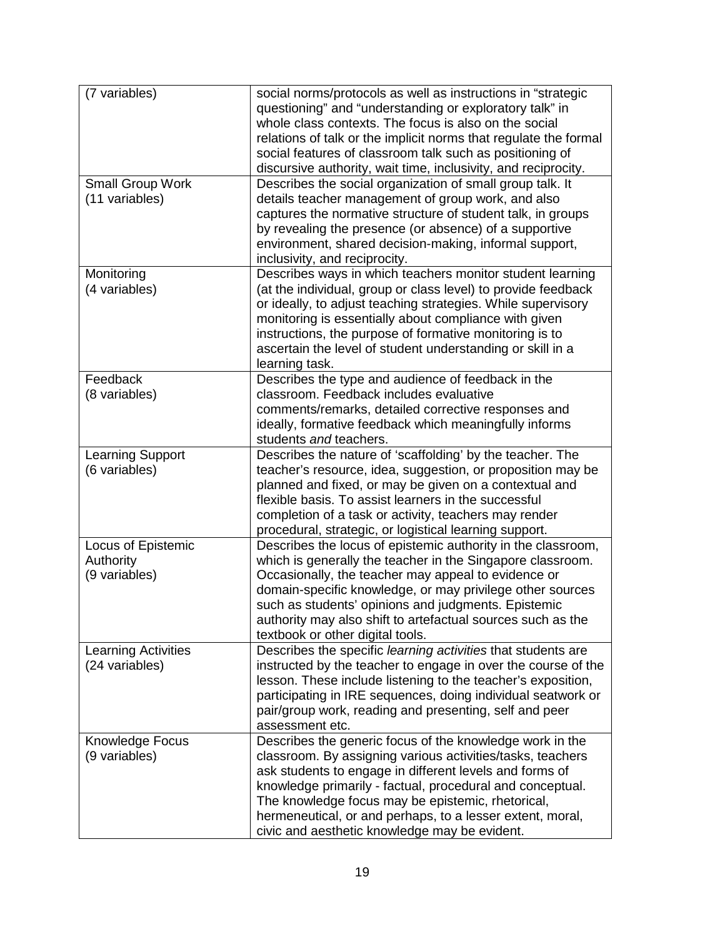| (7 variables)                                    | social norms/protocols as well as instructions in "strategic<br>questioning" and "understanding or exploratory talk" in<br>whole class contexts. The focus is also on the social<br>relations of talk or the implicit norms that regulate the formal<br>social features of classroom talk such as positioning of<br>discursive authority, wait time, inclusivity, and reciprocity.                                |
|--------------------------------------------------|-------------------------------------------------------------------------------------------------------------------------------------------------------------------------------------------------------------------------------------------------------------------------------------------------------------------------------------------------------------------------------------------------------------------|
| <b>Small Group Work</b><br>(11 variables)        | Describes the social organization of small group talk. It<br>details teacher management of group work, and also<br>captures the normative structure of student talk, in groups<br>by revealing the presence (or absence) of a supportive<br>environment, shared decision-making, informal support,<br>inclusivity, and reciprocity.                                                                               |
| Monitoring<br>(4 variables)                      | Describes ways in which teachers monitor student learning<br>(at the individual, group or class level) to provide feedback<br>or ideally, to adjust teaching strategies. While supervisory<br>monitoring is essentially about compliance with given<br>instructions, the purpose of formative monitoring is to<br>ascertain the level of student understanding or skill in a<br>learning task.                    |
| Feedback<br>(8 variables)                        | Describes the type and audience of feedback in the<br>classroom. Feedback includes evaluative<br>comments/remarks, detailed corrective responses and<br>ideally, formative feedback which meaningfully informs<br>students and teachers.                                                                                                                                                                          |
| <b>Learning Support</b><br>(6 variables)         | Describes the nature of 'scaffolding' by the teacher. The<br>teacher's resource, idea, suggestion, or proposition may be<br>planned and fixed, or may be given on a contextual and<br>flexible basis. To assist learners in the successful<br>completion of a task or activity, teachers may render<br>procedural, strategic, or logistical learning support.                                                     |
| Locus of Epistemic<br>Authority<br>(9 variables) | Describes the locus of epistemic authority in the classroom,<br>which is generally the teacher in the Singapore classroom.<br>Occasionally, the teacher may appeal to evidence or<br>domain-specific knowledge, or may privilege other sources<br>such as students' opinions and judgments. Epistemic<br>authority may also shift to artefactual sources such as the<br>textbook or other digital tools.          |
| Learning Activities<br>(24 variables)            | Describes the specific learning activities that students are<br>instructed by the teacher to engage in over the course of the<br>lesson. These include listening to the teacher's exposition,<br>participating in IRE sequences, doing individual seatwork or<br>pair/group work, reading and presenting, self and peer<br>assessment etc.                                                                        |
| Knowledge Focus<br>(9 variables)                 | Describes the generic focus of the knowledge work in the<br>classroom. By assigning various activities/tasks, teachers<br>ask students to engage in different levels and forms of<br>knowledge primarily - factual, procedural and conceptual.<br>The knowledge focus may be epistemic, rhetorical,<br>hermeneutical, or and perhaps, to a lesser extent, moral,<br>civic and aesthetic knowledge may be evident. |